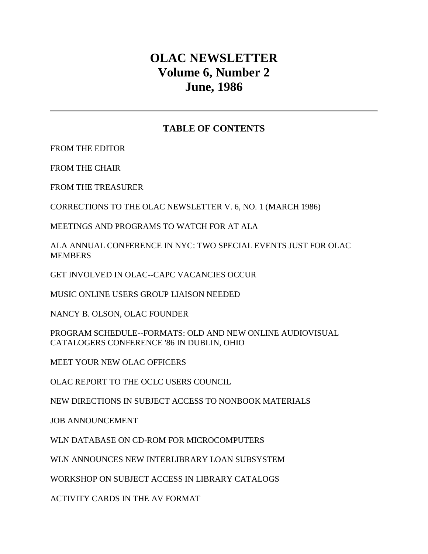# **OLAC NEWSLETTER Volume 6, Number 2 June, 1986**

## **TABLE OF CONTENTS**

[FROM THE EDITOR](http://ublib.buffalo.edu/libraries/units/cts/olac/newsletters/june86.html#editor) 

[FROM THE CHAIR](http://ublib.buffalo.edu/libraries/units/cts/olac/newsletters/june86.html#chair) 

[FROM THE TREASURER](http://ublib.buffalo.edu/libraries/units/cts/olac/newsletters/june86.html#treasurer)

[CORRECTIONS TO THE OLAC NEWSLETTER V. 6, NO. 1 \(MARCH 1986\)](http://ublib.buffalo.edu/libraries/units/cts/olac/newsletters/june86.html#corrections)

[MEETINGS AND PROGRAMS TO WATCH FOR AT ALA](http://ublib.buffalo.edu/libraries/units/cts/olac/newsletters/june86.html#meetings)

[ALA ANNUAL CONFERENCE IN NYC: TWO SPECIAL EVENTS JUST FOR OLAC](http://ublib.buffalo.edu/libraries/units/cts/olac/newsletters/june86.html#ala)  **[MEMBERS](http://ublib.buffalo.edu/libraries/units/cts/olac/newsletters/june86.html#ala)** 

[GET INVOLVED IN OLAC--CAPC VACANCIES OCCUR](http://ublib.buffalo.edu/libraries/units/cts/olac/newsletters/june86.html#involved)

[MUSIC ONLINE USERS GROUP LIAISON NEEDED](http://ublib.buffalo.edu/libraries/units/cts/olac/newsletters/june86.html#music)

[NANCY B. OLSON, OLAC FOUNDER](http://ublib.buffalo.edu/libraries/units/cts/olac/newsletters/june86.html#olson)

[PROGRAM SCHEDULE--FORMATS: OLD AND NEW ONLINE AUDIOVISUAL](http://ublib.buffalo.edu/libraries/units/cts/olac/newsletters/june86.html#schedule)  [CATALOGERS CONFERENCE '86 IN DUBLIN, OHIO](http://ublib.buffalo.edu/libraries/units/cts/olac/newsletters/june86.html#schedule)

[MEET YOUR NEW OLAC OFFICERS](http://ublib.buffalo.edu/libraries/units/cts/olac/newsletters/june86.html#officers)

[OLAC REPORT TO THE OCLC USERS COUNCIL](http://ublib.buffalo.edu/libraries/units/cts/olac/newsletters/june86.html#report)

[NEW DIRECTIONS IN SUBJECT ACCESS TO NONBOOK MATERIALS](http://ublib.buffalo.edu/libraries/units/cts/olac/newsletters/june86.html#nonbook)

[JOB ANNOUNCEMENT](http://ublib.buffalo.edu/libraries/units/cts/olac/newsletters/june86.html#job)

[WLN DATABASE ON CD-ROM FOR MICROCOMPUTERS](http://ublib.buffalo.edu/libraries/units/cts/olac/newsletters/june86.html#wln)

[WLN ANNOUNCES NEW INTERLIBRARY LOAN SUBSYSTEM](http://ublib.buffalo.edu/libraries/units/cts/olac/newsletters/june86.html#wln_ill) 

[WORKSHOP ON SUBJECT ACCESS IN LIBRARY CATALOGS](http://ublib.buffalo.edu/libraries/units/cts/olac/newsletters/june86.html#workshop)

[ACTIVITY CARDS IN THE AV FORMAT](http://ublib.buffalo.edu/libraries/units/cts/olac/newsletters/june86.html#activity)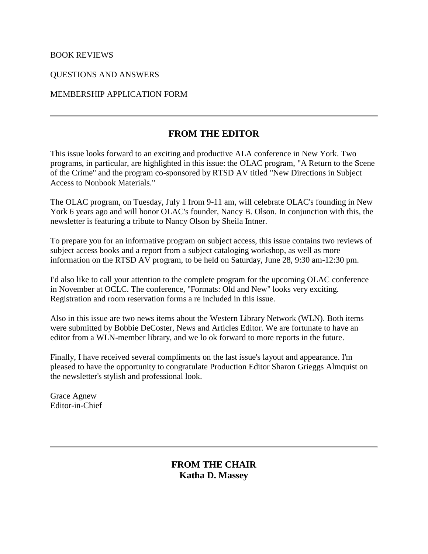### [BOOK REVIEWS](http://ublib.buffalo.edu/libraries/units/cts/olac/newsletters/june86.html#reviews)

[QUESTIONS AND ANSWERS](http://ublib.buffalo.edu/libraries/units/cts/olac/newsletters/june86.html#q&a)

### [MEMBERSHIP APPLICATION FORM](http://ublib.buffalo.edu/libraries/units/cts/olac/newsletters/june86.html#form)

## **FROM THE EDITOR**

This issue looks forward to an exciting and productive ALA conference in New York. Two programs, in particular, are highlighted in this issue: the OLAC program, "A Return to the Scene of the Crime" and the program co-sponsored by RTSD AV titled ["New Directions in Subject](http://ublib.buffalo.edu/libraries/units/cts/olac/newsletters/june86.html#nonbook)  [Access to Nonbook Materials."](http://ublib.buffalo.edu/libraries/units/cts/olac/newsletters/june86.html#nonbook)

The OLAC program, on Tuesday, July 1 from 9-11 am, will celebrate OLAC's founding in New York 6 years ago and will honor OLAC's founder, Nancy B. Olson. In conjunction with this, the newsletter is featuring a [tribute to Nancy Olson b](http://ublib.buffalo.edu/libraries/units/cts/olac/newsletters/june86.html#olson)y Sheila Intner.

To prepare you for an informative program on subject access, this issue contains two [reviews](http://ublib.buffalo.edu/libraries/units/cts/olac/newsletters/june86.html#reviews) of subject access books and a report from a [subject cataloging workshop,](http://ublib.buffalo.edu/libraries/units/cts/olac/newsletters/june86.html#workshop) as well as more information on the [RTSD AV program,](http://ublib.buffalo.edu/libraries/units/cts/olac/newsletters/june86.html#nonbook) to be held on Saturday, June 28, 9:30 am-12:30 pm.

I'd also like to call your attention to the [complete program](http://ublib.buffalo.edu/libraries/units/cts/olac/newsletters/june86.html#schedule) for the upcoming OLAC conference in November at OCLC. The conference, "Formats: Old and New" looks very exciting. Registration and room reservation forms a re included in this issue.

Also in this issue are two [news items](http://ublib.buffalo.edu/libraries/units/cts/olac/newsletters/june86.html#wln) about the Western Library Network (WLN). Both items were submitted by Bobbie DeCoster, News and Articles Editor. We are fortunate to have an editor from a WLN-member library, and we lo ok forward to more reports in the future.

Finally, I have received several compliments on the last issue's layout and appearance. I'm pleased to have the opportunity to congratulate Production Editor Sharon Grieggs Almquist on the newsletter's stylish and professional look.

Grace Agnew Editor-in-Chief

## **FROM THE CHAIR Katha D. Massey**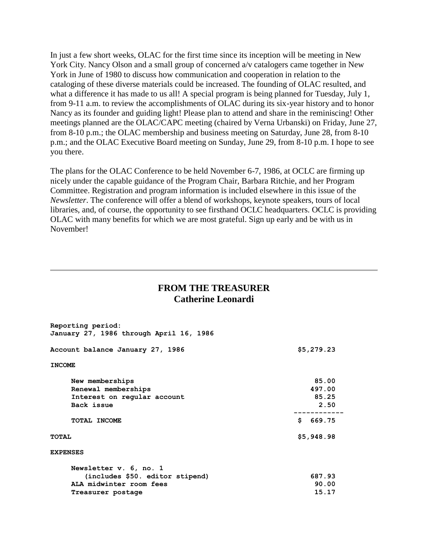In just a few short weeks, OLAC for the first time since its inception will be meeting in New York City. Nancy Olson and a small group of concerned a/v catalogers came together in New York in June of 1980 to discuss how communication and cooperation in relation to the cataloging of these diverse materials could be increased. The founding of OLAC resulted, and what a difference it has made to us all! A special program is being planned for Tuesday, July 1, from 9-11 a.m. to review the accomplishments of OLAC during its six-year history and to honor Nancy as its founder and guiding light! Please plan to attend and share in the reminiscing! Other meetings planned are the OLAC/CAPC meeting (chaired by Verna Urbanski) on Friday, June 27, from 8-10 p.m.; the OLAC membership and business meeting on Saturday, June 28, from 8-10 p.m.; and the OLAC Executive Board meeting on Sunday, June 29, from 8-10 p.m. I hope to see you there.

The plans for the OLAC Conference to be held November 6-7, 1986, at OCLC are firming up nicely under the capable guidance of the Program Chair, Barbara Ritchie, and her Program Committee. Registration and program information is included elsewhere in this issue of the *Newsletter*. The conference will offer a blend of workshops, keynote speakers, tours of local libraries, and, of course, the opportunity to see firsthand OCLC headquarters. OCLC is providing OLAC with many benefits for which we are most grateful. Sign up early and be with us in November!

## **FROM THE TREASURER Catherine Leonardi**

| Reporting period:<br>January 27, 1986 through April 16, 1986                                              |                                  |
|-----------------------------------------------------------------------------------------------------------|----------------------------------|
| Account balance January 27, 1986                                                                          | \$5,279.23                       |
| <b>INCOME</b>                                                                                             |                                  |
| New memberships<br>Renewal memberships<br>Interest on regular account<br>Back issue                       | 85.00<br>497.00<br>85.25<br>2.50 |
| <b>TOTAL INCOME</b>                                                                                       | S.<br>669.75                     |
| <b>TOTAL</b>                                                                                              | \$5,948.98                       |
| <b>EXPENSES</b>                                                                                           |                                  |
| Newsletter v. 6, no. 1<br>(includes \$50. editor stipend)<br>ALA midwinter room fees<br>Treasurer postage | 687.93<br>90.00<br>15.17         |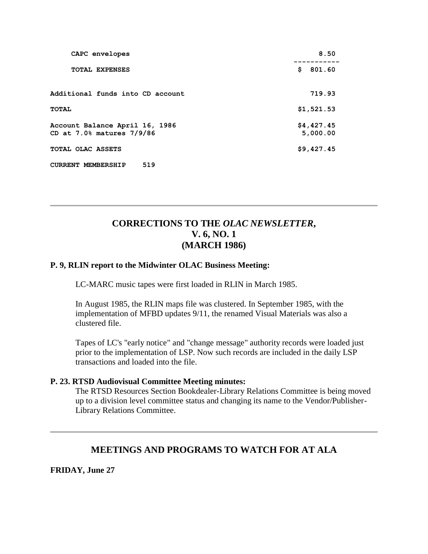| CAPC envelopes                                              | 8.50                   |
|-------------------------------------------------------------|------------------------|
| <b>TOTAL EXPENSES</b>                                       | \$<br>801.60           |
| Additional funds into CD account                            | 719.93                 |
| TOTAL                                                       | \$1,521.53             |
| Account Balance April 16, 1986<br>CD at 7.0% matures 7/9/86 | \$4,427.45<br>5,000.00 |
| TOTAL OLAC ASSETS                                           | \$9,427.45             |
| 519<br><b>CURRENT MEMBERSHIP</b>                            |                        |

## **CORRECTIONS TO THE** *OLAC NEWSLETTER***, V. 6, NO. 1 (MARCH 1986)**

### **[P. 9,](http://ublib.buffalo.edu/libraries/units/cts/olac/newsletters/mar86.html#p9) RLIN report to the Midwinter OLAC Business Meeting:**

LC-MARC music tapes were first loaded in RLIN in March 1985.

In August 1985, the RLIN maps file was clustered. In September 1985, with the implementation of MFBD updates 9/11, the renamed Visual Materials was also a clustered file.

Tapes of LC's "early notice" and "change message" authority records were loaded just prior to the implementation of LSP. Now such records are included in the daily LSP transactions and loaded into the file.

### **[P. 23.](http://ublib.buffalo.edu/libraries/units/cts/olac/newsletters/mar86.html#p23) RTSD Audiovisual Committee Meeting minutes:**

The RTSD Resources Section Bookdealer-Library Relations Committee is being moved up to a division level committee status and changing its name to the Vendor/Publisher-Library Relations Committee.

### **MEETINGS AND PROGRAMS TO WATCH FOR AT ALA**

**FRIDAY, June 27**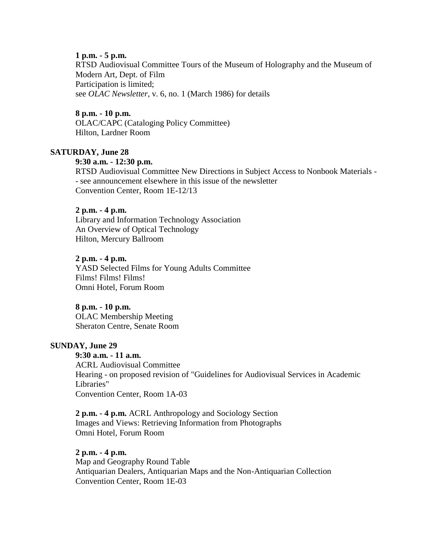### **1 p.m. - 5 p.m.**

RTSD Audiovisual Committee Tours of the Museum of Holography and the Museum of Modern Art, Dept. of Film Participation is limited; see *OLAC Newsletter*, [v. 6, no. 1 \(March 1986\)](http://ublib.buffalo.edu/libraries/units/cts/olac/newsletters/mar86.html#nytours) for details

### **8 p.m. - 10 p.m.**

OLAC/CAPC (Cataloging Policy Committee) Hilton, Lardner Room

### **SATURDAY, June 28**

### **9:30 a.m. - 12:30 p.m.**

RTSD Audiovisual Committee New Directions in Subject Access to Nonbook Materials - - see [announcement](http://ublib.buffalo.edu/libraries/units/cts/olac/newsletters/june86.html#nonbook) elsewhere in this issue of the newsletter Convention Center, Room 1E-12/13

#### **2 p.m. - 4 p.m.**

Library and Information Technology Association An Overview of Optical Technology Hilton, Mercury Ballroom

#### **2 p.m. - 4 p.m.**

YASD Selected Films for Young Adults Committee Films! Films! Films! Omni Hotel, Forum Room

### **8 p.m. - 10 p.m.**

OLAC Membership Meeting Sheraton Centre, Senate Room

### **SUNDAY, June 29**

**9:30 a.m. - 11 a.m.** ACRL Audiovisual Committee Hearing - on proposed revision of "Guidelines for Audiovisual Services in Academic Libraries" Convention Center, Room 1A-03

**2 p.m. - 4 p.m.** ACRL Anthropology and Sociology Section Images and Views: Retrieving Information from Photographs Omni Hotel, Forum Room

#### **2 p.m. - 4 p.m.**

Map and Geography Round Table Antiquarian Dealers, Antiquarian Maps and the Non-Antiquarian Collection Convention Center, Room 1E-03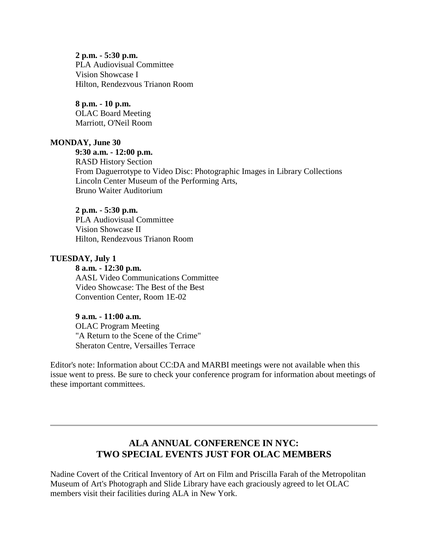**2 p.m. - 5:30 p.m.** PLA Audiovisual Committee Vision Showcase I Hilton, Rendezvous Trianon Room

**8 p.m. - 10 p.m.** OLAC Board Meeting Marriott, O'Neil Room

#### **MONDAY, June 30**

### **9:30 a.m. - 12:00 p.m.**

RASD History Section From Daguerrotype to Video Disc: Photographic Images in Library Collections Lincoln Center Museum of the Performing Arts, Bruno Waiter Auditorium

#### **2 p.m. - 5:30 p.m.**

PLA Audiovisual Committee Vision Showcase II Hilton, Rendezvous Trianon Room

#### **TUESDAY, July 1**

### **8 a.m. - 12:30 p.m.**

AASL Video Communications Committee Video Showcase: The Best of the Best Convention Center, Room 1E-02

### **9 a.m. - 11:00 a.m.**

OLAC Program Meeting "A Return to the Scene of the Crime" Sheraton Centre, Versailles Terrace

Editor's note: Information about CC:DA and MARBI meetings were not available when this issue went to press. Be sure to check your conference program for information about meetings of these important committees.

## **ALA ANNUAL CONFERENCE IN NYC: TWO SPECIAL EVENTS JUST FOR OLAC MEMBERS**

Nadine Covert of the Critical Inventory of Art on Film and Priscilla Farah of the Metropolitan Museum of Art's Photograph and Slide Library have each graciously agreed to let OLAC members visit their facilities during ALA in New York.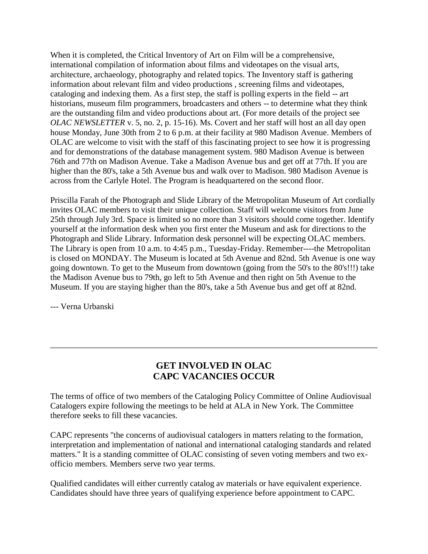When it is completed, the Critical Inventory of Art on Film will be a comprehensive, international compilation of information about films and videotapes on the visual arts, architecture, archaeology, photography and related topics. The Inventory staff is gathering information about relevant film and video productions , screening films and videotapes, cataloging and indexing them. As a first step, the staff is polling experts in the field -- art historians, museum film programmers, broadcasters and others -- to determine what they think are the outstanding film and video productions about art. (For more details of the project see *[OLAC NEWSLETTER](http://ublib.buffalo.edu/libraries/units/cts/olac/newsletters/june85.html#museum)* v. 5, no. 2, p. 15-16). Ms. Covert and her staff will host an all day open house Monday, June 30th from 2 to 6 p.m. at their facility at 980 Madison Avenue. Members of OLAC are welcome to visit with the staff of this fascinating project to see how it is progressing and for demonstrations of the database management system. 980 Madison Avenue is between 76th and 77th on Madison Avenue. Take a Madison Avenue bus and get off at 77th. If you are higher than the 80's, take a 5th Avenue bus and walk over to Madison. 980 Madison Avenue is across from the Carlyle Hotel. The Program is headquartered on the second floor.

Priscilla Farah of the Photograph and Slide Library of the Metropolitan Museum of Art cordially invites OLAC members to visit their unique collection. Staff will welcome visitors from June 25th through July 3rd. Space is limited so no more than 3 visitors should come together. Identify yourself at the information desk when you first enter the Museum and ask for directions to the Photograph and Slide Library. Information desk personnel will be expecting OLAC members. The Library is open from 10 a.m. to 4:45 p.m., Tuesday-Friday. Remember----the Metropolitan is closed on MONDAY. The Museum is located at 5th Avenue and 82nd. 5th Avenue is one way going downtown. To get to the Museum from downtown (going from the 50's to the 80's!!!) take the Madison Avenue bus to 79th, go left to 5th Avenue and then right on 5th Avenue to the Museum. If you are staying higher than the 80's, take a 5th Avenue bus and get off at 82nd.

--- Verna Urbanski

## **GET INVOLVED IN OLAC CAPC VACANCIES OCCUR**

The terms of office of two members of the Cataloging Policy Committee of Online Audiovisual Catalogers expire following the meetings to be held at ALA in New York. The Committee therefore seeks to fill these vacancies.

CAPC represents "the concerns of audiovisual catalogers in matters relating to the formation, interpretation and implementation of national and international cataloging standards and related matters." It is a standing committee of OLAC consisting of seven voting members and two exofficio members. Members serve two year terms.

Qualified candidates will either currently catalog av materials or have equivalent experience. Candidates should have three years of qualifying experience before appointment to CAPC.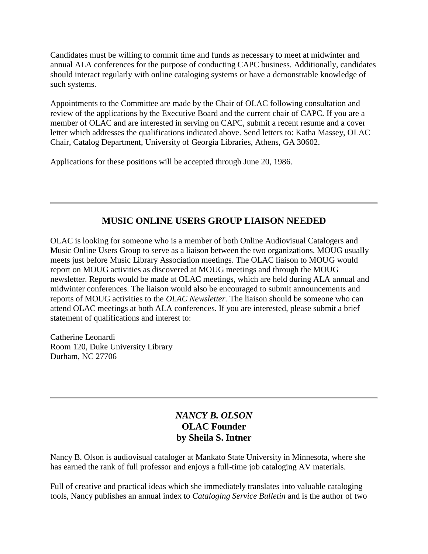Candidates must be willing to commit time and funds as necessary to meet at midwinter and annual ALA conferences for the purpose of conducting CAPC business. Additionally, candidates should interact regularly with online cataloging systems or have a demonstrable knowledge of such systems.

Appointments to the Committee are made by the Chair of OLAC following consultation and review of the applications by the Executive Board and the current chair of CAPC. If you are a member of OLAC and are interested in serving on CAPC, submit a recent resume and a cover letter which addresses the qualifications indicated above. Send letters to: Katha Massey, OLAC Chair, Catalog Department, University of Georgia Libraries, Athens, GA 30602.

Applications for these positions will be accepted through June 20, 1986.

## **MUSIC ONLINE USERS GROUP LIAISON NEEDED**

OLAC is looking for someone who is a member of both Online Audiovisual Catalogers and Music Online Users Group to serve as a liaison between the two organizations. MOUG usually meets just before Music Library Association meetings. The OLAC liaison to MOUG would report on MOUG activities as discovered at MOUG meetings and through the MOUG newsletter. Reports would be made at OLAC meetings, which are held during ALA annual and midwinter conferences. The liaison would also be encouraged to submit announcements and reports of MOUG activities to the *OLAC Newsletter.* The liaison should be someone who can attend OLAC meetings at both ALA conferences. If you are interested, please submit a brief statement of qualifications and interest to:

Catherine Leonardi Room 120, Duke University Library Durham, NC 27706

## *NANCY B. OLSON* **OLAC Founder by Sheila S. Intner**

Nancy B. Olson is audiovisual cataloger at Mankato State University in Minnesota, where she has earned the rank of full professor and enjoys a full-time job cataloging AV materials.

Full of creative and practical ideas which she immediately translates into valuable cataloging tools, Nancy publishes an annual index to *Cataloging Service Bulletin* and is the author of two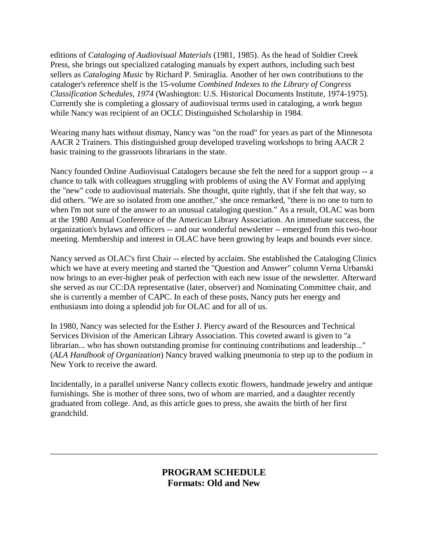editions of *Cataloging of Audiovisual Materials* (1981, 1985). As the head of Soldier Creek Press, she brings out specialized cataloging manuals by expert authors, including such best sellers as *Cataloging Music* by Richard P. Smiraglia. Another of her own contributions to the cataloger's reference shelf is the 15-volume *Combined Indexes to the Library of Congress Classification Schedules, 1974* (Washington: U.S. Historical Documents Institute, 1974-1975). Currently she is completing a glossary of audiovisual terms used in cataloging, a work begun while Nancy was recipient of an OCLC Distinguished Scholarship in 1984.

Wearing many hats without dismay, Nancy was "on the road" for years as part of the Minnesota AACR 2 Trainers. This distinguished group developed traveling workshops to bring AACR 2 basic training to the grassroots librarians in the state.

Nancy founded Online Audiovisual Catalogers because she felt the need for a support group -- a chance to talk with colleagues struggling with problems of using the AV Format and applying the "new" code to audiovisual materials. She thought, quite rightly, that if she felt that way, so did others. "We are so isolated from one another," she once remarked, "there is no one to turn to when I'm not sure of the answer to an unusual cataloging question." As a result, OLAC was born at the 1980 Annual Conference of the American Library Association. An immediate success, the organization's bylaws and officers -- and our wonderful newsletter -- emerged from this two-hour meeting. Membership and interest in OLAC have been growing by leaps and bounds ever since.

Nancy served as OLAC's first Chair -- elected by acclaim. She established the Cataloging Clinics which we have at every meeting and started the "Question and Answer" column Verna Urbanski now brings to an ever-higher peak of perfection with each new issue of the newsletter. Afterward she served as our CC:DA representative (later, observer) and Nominating Committee chair, and she is currently a member of CAPC. In each of these posts, Nancy puts her energy and enthusiasm into doing a splendid job for OLAC and for all of us.

In 1980, Nancy was selected for the Esther J. Piercy award of the Resources and Technical Services Division of the American Library Association. This coveted award is given to "a librarian... who has shown outstanding promise for continuing contributions and leadership..." (*ALA Handbook of Organization*) Nancy braved walking pneumonia to step up to the podium in New York to receive the award.

Incidentally, in a parallel universe Nancy collects exotic flowers, handmade jewelry and antique furnishings. She is mother of three sons, two of whom are married, and a daughter recently graduated from college. And, as this article goes to press, she awaits the birth of her first grandchild.

## **PROGRAM SCHEDULE Formats: Old and New**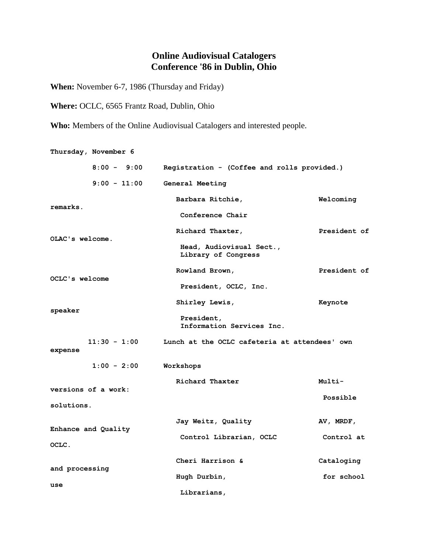## **Online Audiovisual Catalogers Conference '86 in Dublin, Ohio**

**When:** November 6-7, 1986 (Thursday and Friday)

**Where:** OCLC, 6565 Frantz Road, Dublin, Ohio

**Who:** Members of the Online Audiovisual Catalogers and interested people.

|                       | Thursday, November 6 |                                                 |              |
|-----------------------|----------------------|-------------------------------------------------|--------------|
|                       | $8:00 - 9:00$        | Registration - (Coffee and rolls provided.)     |              |
|                       | $9:00 - 11:00$       | General Meeting                                 |              |
| remarks.              |                      | Barbara Ritchie,                                | Welcoming    |
|                       |                      | Conference Chair                                |              |
|                       |                      | Richard Thaxter,                                | President of |
| OLAC's welcome.       |                      | Head, Audiovisual Sect.,<br>Library of Congress |              |
| <b>OCLC's welcome</b> |                      | Rowland Brown,                                  | President of |
|                       |                      | President, OCLC, Inc.                           |              |
|                       |                      | Shirley Lewis,                                  | Keynote      |
| speaker               |                      | President,<br>Information Services Inc.         |              |
| expense               | $11:30 - 1:00$       | Lunch at the OCLC cafeteria at attendees' own   |              |
|                       | $1:00 - 2:00$        | Workshops                                       |              |
| versions of a work:   |                      | Richard Thaxter                                 | Multi-       |
| solutions.            |                      |                                                 | Possible     |
|                       | Enhance and Quality  | Jay Weitz, Quality                              | AV, MRDF,    |
| OCLC.                 |                      | Control Librarian, OCLC                         | Control at   |
|                       |                      | Cheri Harrison &                                | Cataloging   |
| and processing        |                      | Hugh Durbin,                                    | for school   |
| use                   |                      | Librarians,                                     |              |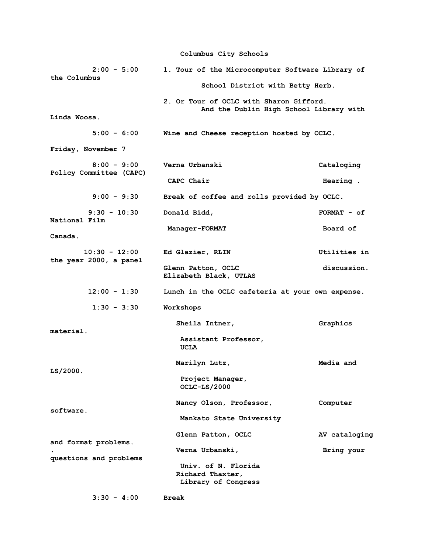**Columbus City Schools**

| $2:00 - 5:00$<br>the Columbus             | 1. Tour of the Microcomputer Software Library of                                   |               |  |  |  |  |
|-------------------------------------------|------------------------------------------------------------------------------------|---------------|--|--|--|--|
|                                           | School District with Betty Herb.                                                   |               |  |  |  |  |
|                                           | 2. Or Tour of OCLC with Sharon Gifford.<br>And the Dublin High School Library with |               |  |  |  |  |
| Linda Woosa.                              |                                                                                    |               |  |  |  |  |
| $5:00 - 6:00$                             | Wine and Cheese reception hosted by OCLC.                                          |               |  |  |  |  |
| Friday, November 7                        |                                                                                    |               |  |  |  |  |
| $8:00 - 9:00$<br>Policy Committee (CAPC)  | Verna Urbanski                                                                     | Cataloging    |  |  |  |  |
|                                           | CAPC Chair                                                                         | Hearing.      |  |  |  |  |
| $9:00 - 9:30$                             | Break of coffee and rolls provided by OCLC.                                        |               |  |  |  |  |
| $9:30 - 10:30$<br>National Film           | Donald Bidd,                                                                       | $FORMAT - of$ |  |  |  |  |
| Canada.                                   | Manager-FORMAT                                                                     | Board of      |  |  |  |  |
|                                           |                                                                                    |               |  |  |  |  |
| $10:30 - 12:00$<br>the year 2000, a panel | Ed Glazier, RLIN                                                                   | Utilities in  |  |  |  |  |
|                                           | Glenn Patton, OCLC<br>Elizabeth Black, UTLAS                                       | discussion.   |  |  |  |  |
| $12:00 - 1:30$                            | Lunch in the OCLC cafeteria at your own expense.                                   |               |  |  |  |  |
| $1:30 - 3:30$                             | Workshops                                                                          |               |  |  |  |  |
| material.                                 | Sheila Intner,                                                                     | Graphics      |  |  |  |  |
|                                           | Assistant Professor,<br>UCLA                                                       |               |  |  |  |  |
| LS/2000.                                  | Marilyn Lutz,                                                                      | Media and     |  |  |  |  |
|                                           | Project Manager,<br>OCLC-LS/2000                                                   |               |  |  |  |  |
| software.                                 | Nancy Olson, Professor,                                                            | Computer      |  |  |  |  |
|                                           | Mankato State University                                                           |               |  |  |  |  |
| and format problems.                      | Glenn Patton, OCLC                                                                 | AV cataloging |  |  |  |  |
| questions and problems                    | Verna Urbanski,                                                                    | Bring your    |  |  |  |  |
|                                           | Univ. of N. Florida                                                                |               |  |  |  |  |
|                                           | Richard Thaxter,                                                                   |               |  |  |  |  |
|                                           | Library of Congress                                                                |               |  |  |  |  |

 **3:30 - 4:00 Break**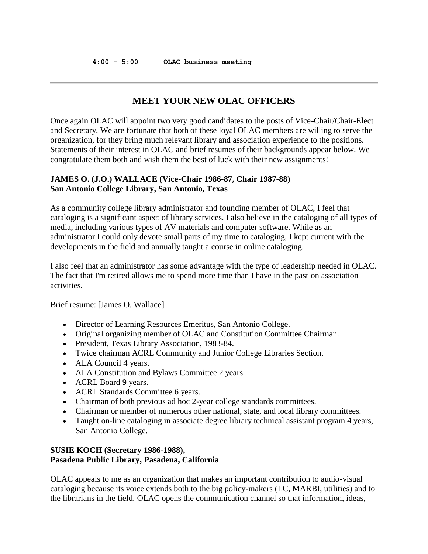## **MEET YOUR NEW OLAC OFFICERS**

Once again OLAC will appoint two very good candidates to the posts of Vice-Chair/Chair-Elect and Secretary, We are fortunate that both of these loyal OLAC members are willing to serve the organization, for they bring much relevant library and association experience to the positions. Statements of their interest in OLAC and brief resumes of their backgrounds appear below. We congratulate them both and wish them the best of luck with their new assignments!

### **JAMES O. (J.O.) WALLACE (Vice-Chair 1986-87, Chair 1987-88) San Antonio College Library, San Antonio, Texas**

As a community college library administrator and founding member of OLAC, I feel that cataloging is a significant aspect of library services. I also believe in the cataloging of all types of media, including various types of AV materials and computer software. While as an administrator I could only devote small parts of my time to cataloging, I kept current with the developments in the field and annually taught a course in online cataloging.

I also feel that an administrator has some advantage with the type of leadership needed in OLAC. The fact that I'm retired allows me to spend more time than I have in the past on association activities.

Brief resume: [James O. Wallace]

- Director of Learning Resources Emeritus, San Antonio College.
- Original organizing member of OLAC and Constitution Committee Chairman.
- President, Texas Library Association, 1983-84.
- Twice chairman ACRL Community and Junior College Libraries Section.
- ALA Council 4 years.
- ALA Constitution and Bylaws Committee 2 years.
- ACRL Board 9 years.
- ACRL Standards Committee 6 years.
- Chairman of both previous ad hoc 2-year college standards committees.
- Chairman or member of numerous other national, state, and local library committees.
- Taught on-line cataloging in associate degree library technical assistant program 4 years, San Antonio College.

### **SUSIE KOCH (Secretary 1986-1988), Pasadena Public Library, Pasadena, California**

OLAC appeals to me as an organization that makes an important contribution to audio-visual cataloging because its voice extends both to the big policy-makers (LC, MARBI, utilities) and to the librarians in the field. OLAC opens the communication channel so that information, ideas,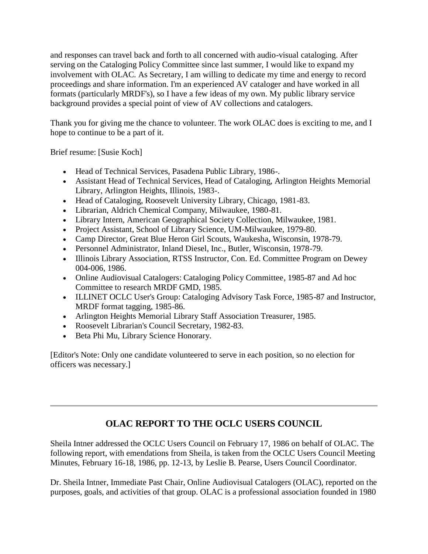and responses can travel back and forth to all concerned with audio-visual cataloging. After serving on the Cataloging Policy Committee since last summer, I would like to expand my involvement with OLAC. As Secretary, I am willing to dedicate my time and energy to record proceedings and share information. I'm an experienced AV cataloger and have worked in all formats (particularly MRDF's), so I have a few ideas of my own. My public library service background provides a special point of view of AV collections and catalogers.

Thank you for giving me the chance to volunteer. The work OLAC does is exciting to me, and I hope to continue to be a part of it.

Brief resume: [Susie Koch]

- Head of Technical Services, Pasadena Public Library, 1986-.
- Assistant Head of Technical Services, Head of Cataloging, Arlington Heights Memorial Library, Arlington Heights, Illinois, 1983-.
- Head of Cataloging, Roosevelt University Library, Chicago, 1981-83.
- Librarian, Aldrich Chemical Company, Milwaukee, 1980-81.
- Library Intern, American Geographical Society Collection, Milwaukee, 1981.
- Project Assistant, School of Library Science, UM-Milwaukee, 1979-80.
- Camp Director, Great Blue Heron Girl Scouts, Waukesha, Wisconsin, 1978-79.
- Personnel Administrator, Inland Diesel, Inc., Butler, Wisconsin, 1978-79.
- Illinois Library Association, RTSS Instructor, Con. Ed. Committee Program on Dewey 004-006, 1986.
- Online Audiovisual Catalogers: Cataloging Policy Committee, 1985-87 and Ad hoc Committee to research MRDF GMD, 1985.
- ILLINET OCLC User's Group: Cataloging Advisory Task Force, 1985-87 and Instructor, MRDF format tagging, 1985-86.
- Arlington Heights Memorial Library Staff Association Treasurer, 1985.
- Roosevelt Librarian's Council Secretary, 1982-83.
- Beta Phi Mu, Library Science Honorary.

[Editor's Note: Only one candidate volunteered to serve in each position, so no election for officers was necessary.]

## **OLAC REPORT TO THE OCLC USERS COUNCIL**

Sheila Intner addressed the OCLC Users Council on February 17, 1986 on behalf of OLAC. The following report, with emendations from Sheila, is taken from the OCLC Users Council Meeting Minutes, February 16-18, 1986, pp. 12-13, by Leslie B. Pearse, Users Council Coordinator.

Dr. Sheila Intner, Immediate Past Chair, Online Audiovisual Catalogers (OLAC), reported on the purposes, goals, and activities of that group. OLAC is a professional association founded in 1980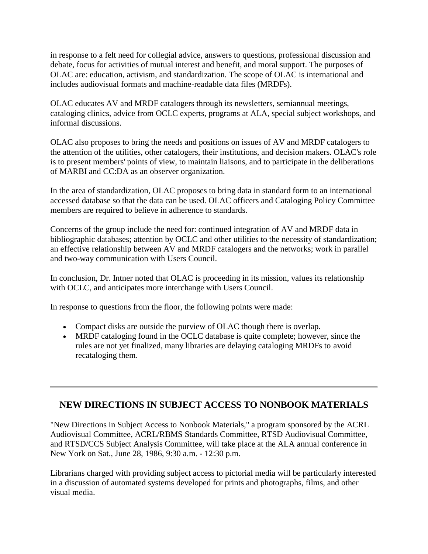in response to a felt need for collegial advice, answers to questions, professional discussion and debate, focus for activities of mutual interest and benefit, and moral support. The purposes of OLAC are: education, activism, and standardization. The scope of OLAC is international and includes audiovisual formats and machine-readable data files (MRDFs).

OLAC educates AV and MRDF catalogers through its newsletters, semiannual meetings, cataloging clinics, advice from OCLC experts, programs at ALA, special subject workshops, and informal discussions.

OLAC also proposes to bring the needs and positions on issues of AV and MRDF catalogers to the attention of the utilities, other catalogers, their institutions, and decision makers. OLAC's role is to present members' points of view, to maintain liaisons, and to participate in the deliberations of MARBI and CC:DA as an observer organization.

In the area of standardization, OLAC proposes to bring data in standard form to an international accessed database so that the data can be used. OLAC officers and Cataloging Policy Committee members are required to believe in adherence to standards.

Concerns of the group include the need for: continued integration of AV and MRDF data in bibliographic databases; attention by OCLC and other utilities to the necessity of standardization; an effective relationship between AV and MRDF catalogers and the networks; work in parallel and two-way communication with Users Council.

In conclusion, Dr. Intner noted that OLAC is proceeding in its mission, values its relationship with OCLC, and anticipates more interchange with Users Council.

In response to questions from the floor, the following points were made:

- Compact disks are outside the purview of OLAC though there is overlap.
- MRDF cataloging found in the OCLC database is quite complete; however, since the rules are not yet finalized, many libraries are delaying cataloging MRDFs to avoid recataloging them.

## **NEW DIRECTIONS IN SUBJECT ACCESS TO NONBOOK MATERIALS**

"New Directions in Subject Access to Nonbook Materials," a program sponsored by the ACRL Audiovisual Committee, ACRL/RBMS Standards Committee, RTSD Audiovisual Committee, and RTSD/CCS Subject Analysis Committee, will take place at the ALA annual conference in New York on Sat., June 28, 1986, 9:30 a.m. - 12:30 p.m.

Librarians charged with providing subject access to pictorial media will be particularly interested in a discussion of automated systems developed for prints and photographs, films, and other visual media.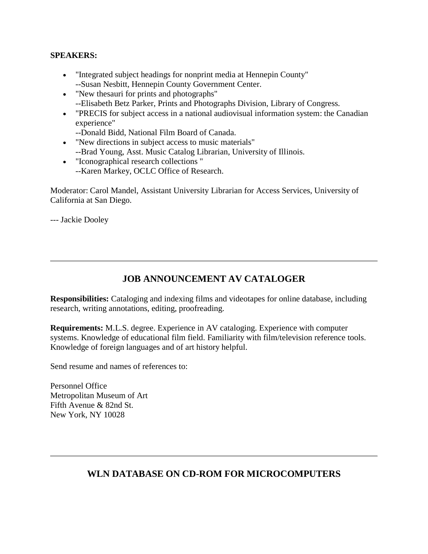### **SPEAKERS:**

- "Integrated subject headings for nonprint media at Hennepin County" --Susan Nesbitt, Hennepin County Government Center.
- "New thesauri for prints and photographs" --Elisabeth Betz Parker, Prints and Photographs Division, Library of Congress.
- "PRECIS for subject access in a national audiovisual information system: the Canadian experience"
	- --Donald Bidd, National Film Board of Canada.
- "New directions in subject access to music materials" --Brad Young, Asst. Music Catalog Librarian, University of Illinois.
- "Iconographical research collections " --Karen Markey, OCLC Office of Research.

Moderator: Carol Mandel, Assistant University Librarian for Access Services, University of California at San Diego.

--- Jackie Dooley

## **JOB ANNOUNCEMENT AV CATALOGER**

**Responsibilities:** Cataloging and indexing films and videotapes for online database, including research, writing annotations, editing, proofreading.

**Requirements:** M.L.S. degree. Experience in AV cataloging. Experience with computer systems. Knowledge of educational film field. Familiarity with film/television reference tools. Knowledge of foreign languages and of art history helpful.

Send resume and names of references to:

Personnel Office Metropolitan Museum of Art Fifth Avenue & 82nd St. New York, NY 10028

## **WLN DATABASE ON CD-ROM FOR MICROCOMPUTERS**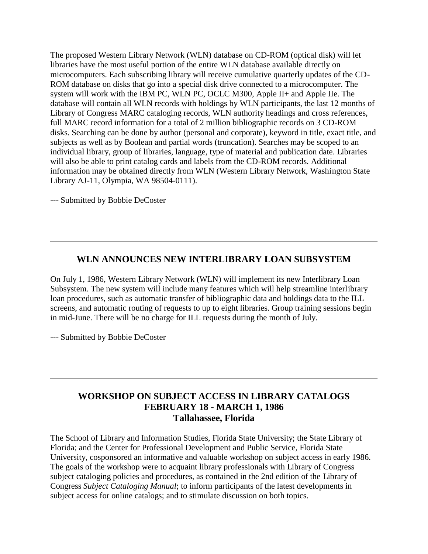The proposed Western Library Network (WLN) database on CD-ROM (optical disk) will let libraries have the most useful portion of the entire WLN database available directly on microcomputers. Each subscribing library will receive cumulative quarterly updates of the CD-ROM database on disks that go into a special disk drive connected to a microcomputer. The system will work with the IBM PC, WLN PC, OCLC M300, Apple II+ and Apple IIe. The database will contain all WLN records with holdings by WLN participants, the last 12 months of Library of Congress MARC cataloging records, WLN authority headings and cross references, full MARC record information for a total of 2 million bibliographic records on 3 CD-ROM disks. Searching can be done by author (personal and corporate), keyword in title, exact title, and subjects as well as by Boolean and partial words (truncation). Searches may be scoped to an individual library, group of libraries, language, type of material and publication date. Libraries will also be able to print catalog cards and labels from the CD-ROM records. Additional information may be obtained directly from WLN (Western Library Network, Washington State Library AJ-11, Olympia, WA 98504-0111).

--- Submitted by Bobbie DeCoster

## **WLN ANNOUNCES NEW INTERLIBRARY LOAN SUBSYSTEM**

On July 1, 1986, Western Library Network (WLN) will implement its new Interlibrary Loan Subsystem. The new system will include many features which will help streamline interlibrary loan procedures, such as automatic transfer of bibliographic data and holdings data to the ILL screens, and automatic routing of requests to up to eight libraries. Group training sessions begin in mid-June. There will be no charge for ILL requests during the month of July.

--- Submitted by Bobbie DeCoster

## **WORKSHOP ON SUBJECT ACCESS IN LIBRARY CATALOGS FEBRUARY 18 - MARCH 1, 1986 Tallahassee, Florida**

The School of Library and Information Studies, Florida State University; the State Library of Florida; and the Center for Professional Development and Public Service, Florida State University, cosponsored an informative and valuable workshop on subject access in early 1986. The goals of the workshop were to acquaint library professionals with Library of Congress subject cataloging policies and procedures, as contained in the 2nd edition of the Library of Congress *Subject Cataloging Manual*; to inform participants of the latest developments in subject access for online catalogs; and to stimulate discussion on both topics.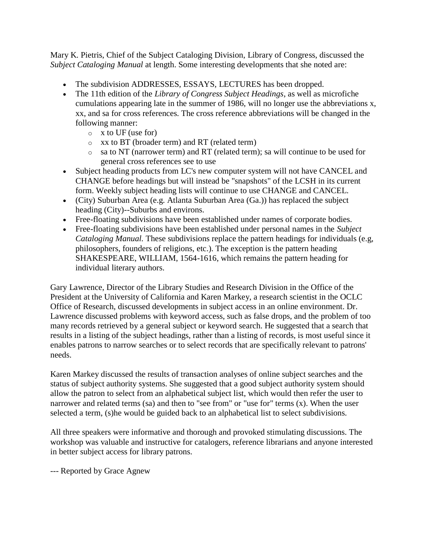Mary K. Pietris, Chief of the Subject Cataloging Division, Library of Congress, discussed the *Subject Cataloging Manual* at length. Some interesting developments that she noted are:

- The subdivision ADDRESSES, ESSAYS, LECTURES has been dropped.
- The 11th edition of the *Library of Congress Subject Headings*, as well as microfiche cumulations appearing late in the summer of 1986, will no longer use the abbreviations x, xx, and sa for cross references. The cross reference abbreviations will be changed in the following manner:
	- $\circ$  x to UF (use for)
	- o xx to BT (broader term) and RT (related term)
	- o sa to NT (narrower term) and RT (related term); sa will continue to be used for general cross references see to use
- Subject heading products from LC's new computer system will not have CANCEL and CHANGE before headings but will instead be "snapshots" of the LCSH in its current form. Weekly subject heading lists will continue to use CHANGE and CANCEL.
- (City) Suburban Area (e.g. Atlanta Suburban Area (Ga.)) has replaced the subject heading (City)--Suburbs and environs.
- Free-floating subdivisions have been established under names of corporate bodies.
- Free-floating subdivisions have been established under personal names in the *Subject Cataloging Manual.* These subdivisions replace the pattern headings for individuals (e.g, philosophers, founders of religions, etc.). The exception is the pattern heading SHAKESPEARE, WILLIAM, 1564-1616, which remains the pattern heading for individual literary authors.

Gary Lawrence, Director of the Library Studies and Research Division in the Office of the President at the University of California and Karen Markey, a research scientist in the OCLC Office of Research, discussed developments in subject access in an online environment. Dr. Lawrence discussed problems with keyword access, such as false drops, and the problem of too many records retrieved by a general subject or keyword search. He suggested that a search that results in a listing of the subject headings, rather than a listing of records, is most useful since it enables patrons to narrow searches or to select records that are specifically relevant to patrons' needs.

Karen Markey discussed the results of transaction analyses of online subject searches and the status of subject authority systems. She suggested that a good subject authority system should allow the patron to select from an alphabetical subject list, which would then refer the user to narrower and related terms (sa) and then to "see from" or "use for" terms (x). When the user selected a term, (s)he would be guided back to an alphabetical list to select subdivisions.

All three speakers were informative and thorough and provoked stimulating discussions. The workshop was valuable and instructive for catalogers, reference librarians and anyone interested in better subject access for library patrons.

--- Reported by Grace Agnew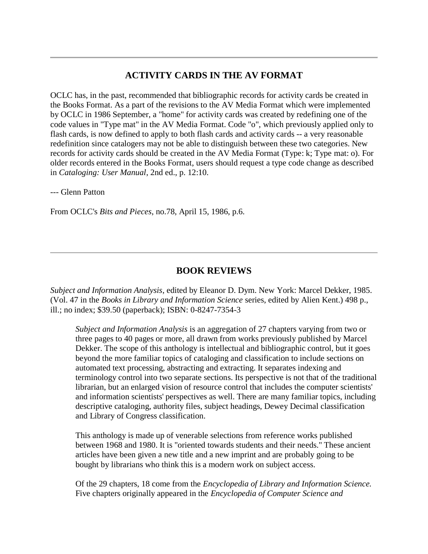## **ACTIVITY CARDS IN THE AV FORMAT**

OCLC has, in the past, recommended that bibliographic records for activity cards be created in the Books Format. As a part of the revisions to the AV Media Format which were implemented by OCLC in 1986 September, a "home" for activity cards was created by redefining one of the code values in "Type mat" in the AV Media Format. Code "o", which previously applied only to flash cards, is now defined to apply to both flash cards and activity cards -- a very reasonable redefinition since catalogers may not be able to distinguish between these two categories. New records for activity cards should be created in the AV Media Format (Type: k; Type mat: o). For older records entered in the Books Format, users should request a type code change as described in *Cataloging: User Manual*, 2nd ed., p. 12:10.

--- Glenn Patton

From OCLC's *Bits and Pieces*, no.78, April 15, 1986, p.6.

### **BOOK REVIEWS**

*Subject and Information Analysis*, edited by Eleanor D. Dym. New York: Marcel Dekker, 1985. (Vol. 47 in the *Books in Library and Information Science* series, edited by Alien Kent.) 498 p., ill.; no index; \$39.50 (paperback); ISBN: 0-8247-7354-3

*Subject and Information Analysis* is an aggregation of 27 chapters varying from two or three pages to 40 pages or more, all drawn from works previously published by Marcel Dekker. The scope of this anthology is intellectual and bibliographic control, but it goes beyond the more familiar topics of cataloging and classification to include sections on automated text processing, abstracting and extracting. It separates indexing and terminology control into two separate sections. Its perspective is not that of the traditional librarian, but an enlarged vision of resource control that includes the computer scientists' and information scientists' perspectives as well. There are many familiar topics, including descriptive cataloging, authority files, subject headings, Dewey Decimal classification and Library of Congress classification.

This anthology is made up of venerable selections from reference works published between 1968 and 1980. It is "oriented towards students and their needs." These ancient articles have been given a new title and a new imprint and are probably going to be bought by librarians who think this is a modern work on subject access.

Of the 29 chapters, 18 come from the *Encyclopedia of Library and Information Science.* Five chapters originally appeared in the *Encyclopedia of Computer Science and*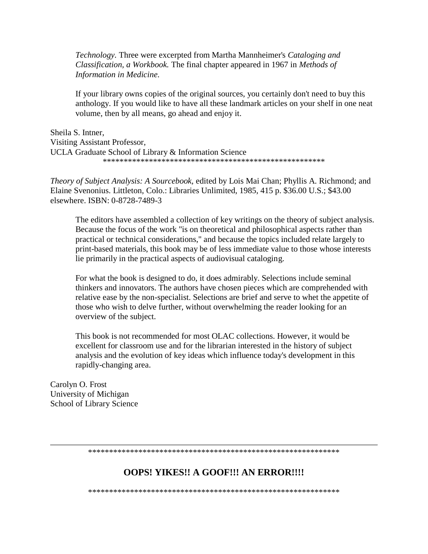*Technology.* Three were excerpted from Martha Mannheimer's *Cataloging and Classification, a Workbook.* The final chapter appeared in 1967 in *Methods of Information in Medicine.*

If your library owns copies of the original sources, you certainly don't need to buy this anthology. If you would like to have all these landmark articles on your shelf in one neat volume, then by all means, go ahead and enjoy it.

Sheila S. Intner, Visiting Assistant Professor, UCLA Graduate School of Library & Information Science \*\*\*\*\*\*\*\*\*\*\*\*\*\*\*\*\*\*\*\*\*\*\*\*\*\*\*\*\*\*\*\*\*\*\*\*\*\*\*\*\*\*\*\*\*\*\*\*\*\*\*\*\*

*Theory of Subject Analysis: A Sourcebook,* edited by Lois Mai Chan; Phyllis A. Richmond; and Elaine Svenonius. Littleton, Colo.: Libraries Unlimited, 1985, 415 p. \$36.00 U.S.; \$43.00 elsewhere. ISBN: 0-8728-7489-3

The editors have assembled a collection of key writings on the theory of subject analysis. Because the focus of the work "is on theoretical and philosophical aspects rather than practical or technical considerations," and because the topics included relate largely to print-based materials, this book may be of less immediate value to those whose interests lie primarily in the practical aspects of audiovisual cataloging.

For what the book is designed to do, it does admirably. Selections include seminal thinkers and innovators. The authors have chosen pieces which are comprehended with relative ease by the non-specialist. Selections are brief and serve to whet the appetite of those who wish to delve further, without overwhelming the reader looking for an overview of the subject.

This book is not recommended for most OLAC collections. However, it would be excellent for classroom use and for the librarian interested in the history of subject analysis and the evolution of key ideas which influence today's development in this rapidly-changing area.

Carolyn O. Frost University of Michigan School of Library Science

\*\*\*\*\*\*\*\*\*\*\*\*\*\*\*\*\*\*\*\*\*\*\*\*\*\*\*\*\*\*\*\*\*\*\*\*\*\*\*\*\*\*\*\*\*\*\*\*\*\*\*\*\*\*\*\*\*\*\*\*

### **OOPS! YIKES!! A GOOF!!! AN ERROR!!!!**

\*\*\*\*\*\*\*\*\*\*\*\*\*\*\*\*\*\*\*\*\*\*\*\*\*\*\*\*\*\*\*\*\*\*\*\*\*\*\*\*\*\*\*\*\*\*\*\*\*\*\*\*\*\*\*\*\*\*\*\*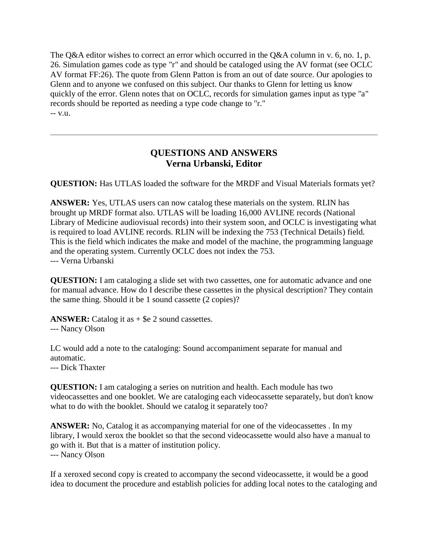The Q&A editor wishes to correct an error which occurred in the Q&A column in v. 6, no. 1, p. [26.](http://ublib.buffalo.edu/libraries/units/cts/olac/newsletters/mar86.html#p26) Simulation games code as type "r" and should be cataloged using the AV format (see OCLC AV format FF:26). The quote from Glenn Patton is from an out of date source. Our apologies to Glenn and to anyone we confused on this subject. Our thanks to Glenn for letting us know quickly of the error. Glenn notes that on OCLC, records for simulation games input as type "a" records should be reported as needing a type code change to "r." -- v.u.

## **QUESTIONS AND ANSWERS Verna Urbanski, Editor**

**QUESTION:** Has UTLAS loaded the software for the MRDF and Visual Materials formats yet?

**ANSWER:** Yes, UTLAS users can now catalog these materials on the system. RLIN has brought up MRDF format also. UTLAS will be loading 16,000 AVLINE records (National Library of Medicine audiovisual records) into their system soon, and OCLC is investigating what is required to load AVLINE records. RLIN will be indexing the 753 (Technical Details) field. This is the field which indicates the make and model of the machine, the programming language and the operating system. Currently OCLC does not index the 753. --- Verna Urbanski

**QUESTION:** I am cataloging a slide set with two cassettes, one for automatic advance and one for manual advance. How do I describe these cassettes in the physical description? They contain the same thing. Should it be 1 sound cassette (2 copies)?

**ANSWER:** Catalog it as  $+$  \$e 2 sound cassettes.

### --- Nancy Olson

LC would add a note to the cataloging: Sound accompaniment separate for manual and automatic.

--- Dick Thaxter

**QUESTION:** I am cataloging a series on nutrition and health. Each module has two videocassettes and one booklet. We are cataloging each videocassette separately, but don't know what to do with the booklet. Should we catalog it separately too?

**ANSWER:** No, Catalog it as accompanying material for one of the videocassettes . In my library, I would xerox the booklet so that the second videocassette would also have a manual to go with it. But that is a matter of institution policy. --- Nancy Olson

If a xeroxed second copy is created to accompany the second videocassette, it would be a good idea to document the procedure and establish policies for adding local notes to the cataloging and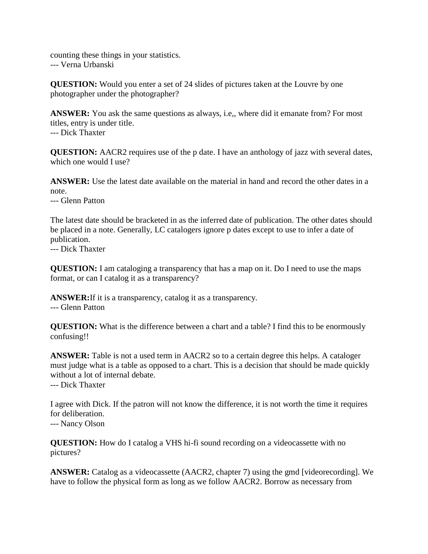counting these things in your statistics. --- Verna Urbanski

**QUESTION:** Would you enter a set of 24 slides of pictures taken at the Louvre by one photographer under the photographer?

**ANSWER:** You ask the same questions as always, i.e,, where did it emanate from? For most titles, entry is under title. --- Dick Thaxter

**QUESTION:** AACR2 requires use of the p date. I have an anthology of jazz with several dates, which one would I use?

**ANSWER:** Use the latest date available on the material in hand and record the other dates in a note.

--- Glenn Patton

The latest date should be bracketed in as the inferred date of publication. The other dates should be placed in a note. Generally, LC catalogers ignore p dates except to use to infer a date of publication.

--- Dick Thaxter

**QUESTION:** I am cataloging a transparency that has a map on it. Do I need to use the maps format, or can I catalog it as a transparency?

**ANSWER:**If it is a transparency, catalog it as a transparency. --- Glenn Patton

**QUESTION:** What is the difference between a chart and a table? I find this to be enormously confusing!!

**ANSWER:** Table is not a used term in AACR2 so to a certain degree this helps. A cataloger must judge what is a table as opposed to a chart. This is a decision that should be made quickly without a lot of internal debate.

--- Dick Thaxter

I agree with Dick. If the patron will not know the difference, it is not worth the time it requires for deliberation.

--- Nancy Olson

**QUESTION:** How do I catalog a VHS hi-fi sound recording on a videocassette with no pictures?

**ANSWER:** Catalog as a videocassette (AACR2, chapter 7) using the gmd [videorecording]. We have to follow the physical form as long as we follow AACR2. Borrow as necessary from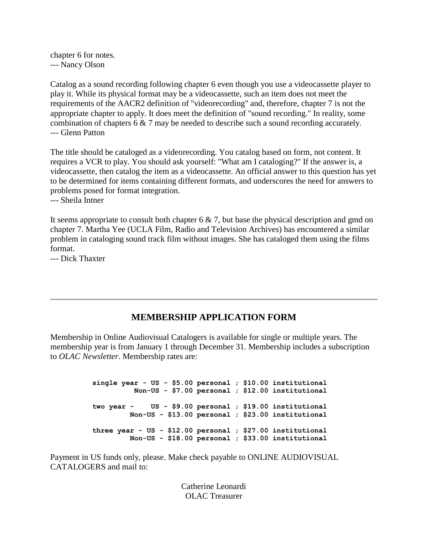chapter 6 for notes. --- Nancy Olson

Catalog as a sound recording following chapter 6 even though you use a videocassette player to play it. While its physical format may be a videocassette, such an item does not meet the requirements of the AACR2 definition of "videorecording" and, therefore, chapter 7 is not the appropriate chapter to apply. It does meet the definition of "sound recording." In reality, some combination of chapters 6 & 7 may be needed to describe such a sound recording accurately. --- Glenn Patton

The title should be cataloged as a videorecording. You catalog based on form, not content. It requires a VCR to play. You should ask yourself: "What am I cataloging?" If the answer is, a videocassette, then catalog the item as a videocassette. An official answer to this question has yet to be determined for items containing different formats, and underscores the need for answers to problems posed for format integration.

--- Sheila Intner

It seems appropriate to consult both chapter  $6 \& 7$ , but base the physical description and gmd on chapter 7. Martha Yee (UCLA Film, Radio and Television Archives) has encountered a similar problem in cataloging sound track film without images. She has cataloged them using the films format.

--- Dick Thaxter

## **MEMBERSHIP APPLICATION FORM**

Membership in Online Audiovisual Catalogers is available for single or multiple years. The membership year is from January 1 through December 31. Membership includes a subscription to *OLAC Newsletter*. Membership rates are:

> **single year - US - \$5.00 personal ; \$10.00 institutional Non-US - \$7.00 personal ; \$12.00 institutional two year - US - \$9.00 personal ; \$19.00 institutional Non-US - \$13.00 personal ; \$23.00 institutional three year - US - \$12.00 personal ; \$27.00 institutional Non-US - \$18.00 personal ; \$33.00 institutional**

Payment in US funds only, please. Make check payable to ONLINE AUDIOVISUAL CATALOGERS and mail to:

> Catherine Leonardi OLAC Treasurer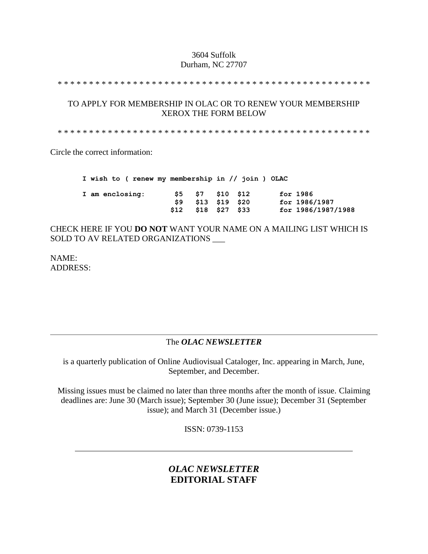### 3604 Suffolk Durham, NC 27707

\* \* \* \* \* \* \* \* \* \* \* \* \* \* \* \* \* \* \* \* \* \* \* \* \* \* \* \* \* \* \* \* \* \* \* \* \* \* \* \* \* \* \* \* \* \* \* \* \* \*

### TO APPLY FOR MEMBERSHIP IN OLAC OR TO RENEW YOUR MEMBERSHIP XEROX THE FORM BELOW

\* \* \* \* \* \* \* \* \* \* \* \* \* \* \* \* \* \* \* \* \* \* \* \* \* \* \* \* \* \* \* \* \* \* \* \* \* \* \* \* \* \* \* \* \* \* \* \* \* \*

Circle the correct information:

|                 |  |  |      |                     | I wish to ( renew my membership in // join ) OLAC |                    |
|-----------------|--|--|------|---------------------|---------------------------------------------------|--------------------|
| I am enclosing: |  |  |      | \$5 \$7 \$10 \$12   |                                                   | for 1986           |
|                 |  |  | S9 - | \$13 \$19 \$20      |                                                   | for 1986/1987      |
|                 |  |  |      | \$12 \$18 \$27 \$33 |                                                   | for 1986/1987/1988 |

CHECK HERE IF YOU **DO NOT** WANT YOUR NAME ON A MAILING LIST WHICH IS SOLD TO AV RELATED ORGANIZATIONS \_\_\_

NAME: ADDRESS:

## The *OLAC NEWSLETTER*

is a quarterly publication of Online Audiovisual Cataloger, Inc. appearing in March, June, September, and December.

Missing issues must be claimed no later than three months after the month of issue. Claiming deadlines are: June 30 (March issue); September 30 (June issue); December 31 (September issue); and March 31 (December issue.)

ISSN: 0739-1153

## *OLAC NEWSLETTER* **EDITORIAL STAFF**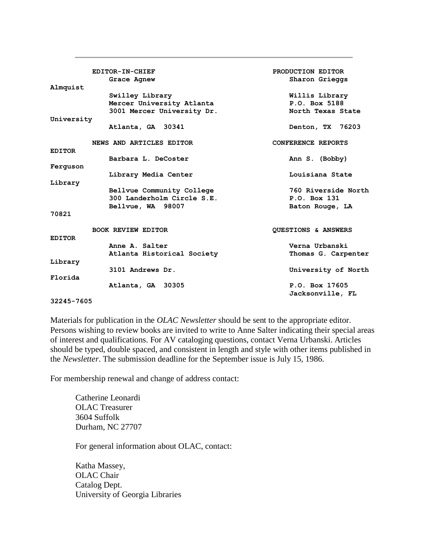|               | EDITOR-IN-CHIEF            | PRODUCTION EDITOR              |
|---------------|----------------------------|--------------------------------|
|               |                            |                                |
|               | Grace Agnew                | Sharon Grieggs                 |
| Almquist      | Swilley Library            | Willis Library                 |
|               | Mercer University Atlanta  | P.O. Box 5188                  |
|               |                            | North Texas State              |
|               | 3001 Mercer University Dr. |                                |
| University    |                            |                                |
|               | Atlanta, GA 30341          | Denton, TX 76203               |
|               |                            |                                |
|               | NEWS AND ARTICLES EDITOR   | CONFERENCE REPORTS             |
| <b>EDITOR</b> |                            |                                |
|               | Barbara L. DeCoster        | Ann S. (Bobby)                 |
| Ferquson      |                            |                                |
|               |                            |                                |
|               | Library Media Center       | Louisiana State                |
| Library       |                            |                                |
|               | Bellvue Community College  | 760 Riverside North            |
|               | 300 Landerholm Circle S.E. | P.O. Box 131                   |
|               | Bellvue, WA 98007          | Baton Rouge, LA                |
| 70821         |                            |                                |
|               |                            |                                |
|               | <b>BOOK REVIEW EDITOR</b>  |                                |
|               |                            | <b>OUESTIONS &amp; ANSWERS</b> |
| <b>EDITOR</b> |                            |                                |
|               | Anne A. Salter             | Verna Urbanski                 |
|               | Atlanta Historical Society | Thomas G. Carpenter            |
| Library       |                            |                                |
|               | 3101 Andrews Dr.           | University of North            |
| Florida       |                            |                                |
|               | Atlanta, GA 30305          | P.O. Box 17605                 |
|               |                            |                                |
|               |                            | Jacksonville, FL               |
| 32245-7605    |                            |                                |

Materials for publication in the *OLAC Newsletter* should be sent to the appropriate editor. Persons wishing to review books are invited to write to Anne Salter indicating their special areas of interest and qualifications. For AV cataloging questions, contact Verna Urbanski. Articles should be typed, double spaced, and consistent in length and style with other items published in the *Newsletter*. The submission deadline for the [September issue](http://ublib.buffalo.edu/libraries/units/cts/olac/newsletters/sept86.html) is July 15, 1986.

For membership renewal and change of address contact:

Catherine Leonardi OLAC Treasurer 3604 Suffolk Durham, NC 27707

For general information about OLAC, contact:

Katha Massey, OLAC Chair Catalog Dept. University of Georgia Libraries